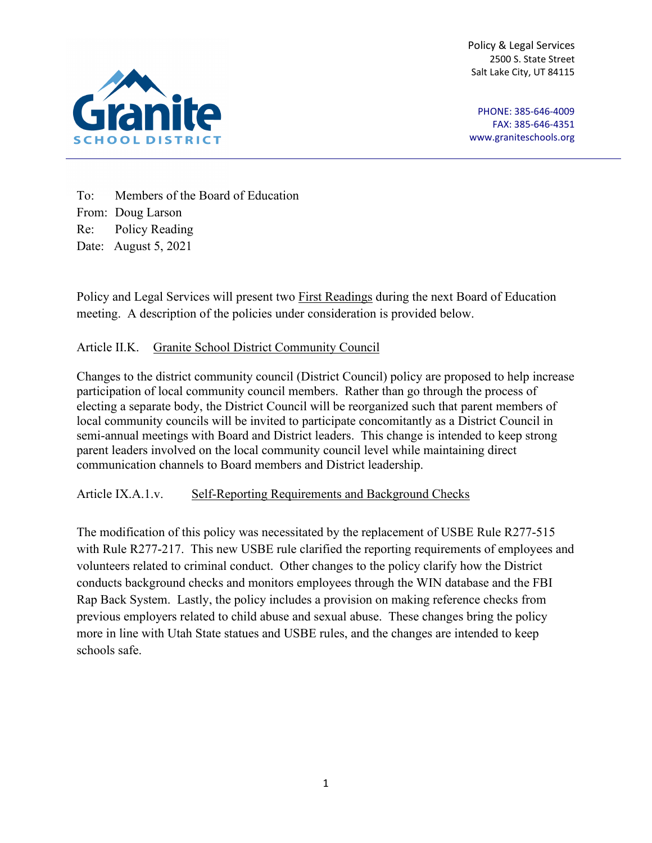Policy & Legal Services 2500 S. State Street Salt Lake City, UT 84115



PHONE: 385-646-4009 FAX: 385-646-4351 [www.graniteschools.org](http://www.graniteschools.org/)

To: Members of the Board of Education From: Doug Larson Re: Policy Reading Date: August 5, 2021

Policy and Legal Services will present two First Readings during the next Board of Education meeting. A description of the policies under consideration is provided below.

## Article II.K. Granite School District Community Council

Changes to the district community council (District Council) policy are proposed to help increase participation of local community council members. Rather than go through the process of electing a separate body, the District Council will be reorganized such that parent members of local community councils will be invited to participate concomitantly as a District Council in semi-annual meetings with Board and District leaders. This change is intended to keep strong parent leaders involved on the local community council level while maintaining direct communication channels to Board members and District leadership.

Article IX.A.1.v. Self-Reporting Requirements and Background Checks

The modification of this policy was necessitated by the replacement of USBE Rule R277-515 with Rule R277-217. This new USBE rule clarified the reporting requirements of employees and volunteers related to criminal conduct. Other changes to the policy clarify how the District conducts background checks and monitors employees through the WIN database and the FBI Rap Back System. Lastly, the policy includes a provision on making reference checks from previous employers related to child abuse and sexual abuse. These changes bring the policy more in line with Utah State statues and USBE rules, and the changes are intended to keep schools safe.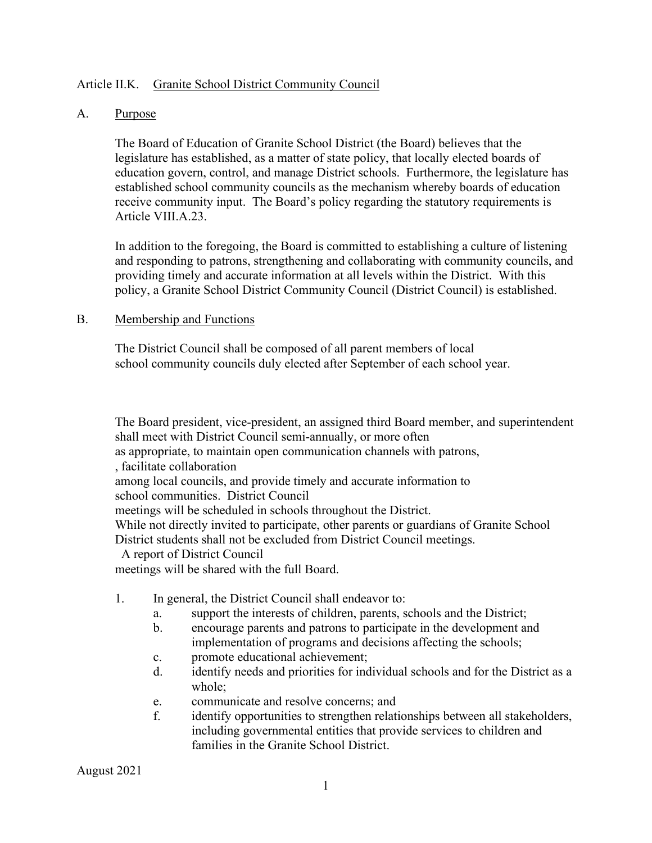### Article II.K. Granite School District Community Council

#### A. Purpose

The Board of Education of Granite School District (the Board) believes that the legislature has established, as a matter of state policy, that locally elected boards of education govern, control, and manage District schools. Furthermore, the legislature has established school community councils as the mechanism whereby boards of education receive community input. The Board's policy regarding the statutory requirements is Article VIII.A.23.

In addition to the foregoing, the Board is committed to establishing a culture of listening and responding to patrons, strengthening and collaborating with community councils, and providing timely and accurate information at all levels within the District. With this policy, a Granite School District Community Council (District Council) is established.

#### B. Membership and Functions

The District Council shall be composed of all parent members of local school community councils duly elected after September of each school year.

The Board president, vice-president, an assigned third Board member, and superintendent shall meet with District Council semi-annually, or more often as appropriate, to maintain open communication channels with patrons, , facilitate collaboration among local councils, and provide timely and accurate information to school communities. District Council meetings will be scheduled in schools throughout the District. While not directly invited to participate, other parents or guardians of Granite School District students shall not be excluded from District Council meetings. A report of District Council meetings will be shared with the full Board.

- 1. In general, the District Council shall endeavor to:
	- a. support the interests of children, parents, schools and the District;
	- b. encourage parents and patrons to participate in the development and implementation of programs and decisions affecting the schools;
	- c. promote educational achievement;
	- d. identify needs and priorities for individual schools and for the District as a whole;
	- e. communicate and resolve concerns; and
	- f. identify opportunities to strengthen relationships between all stakeholders, including governmental entities that provide services to children and families in the Granite School District.

August 2021